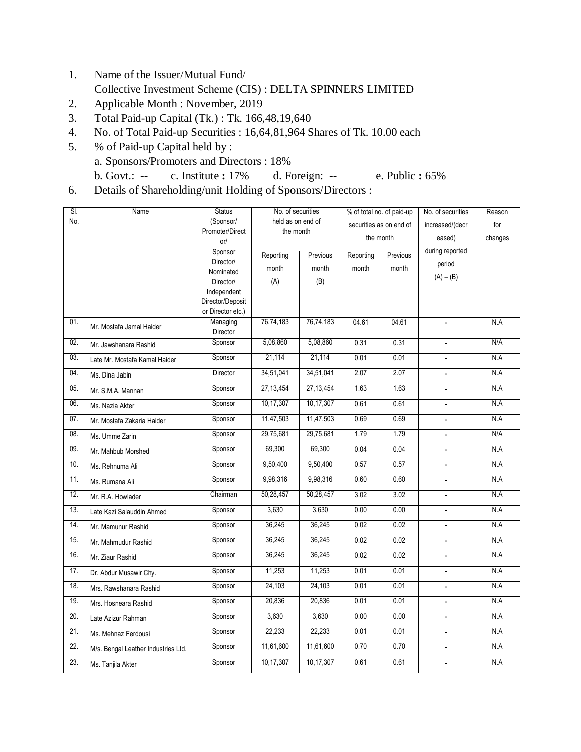- 1. Name of the Issuer/Mutual Fund/ Collective Investment Scheme (CIS) : DELTA SPINNERS LIMITED
- 2. Applicable Month : November, 2019
- 3. Total Paid-up Capital (Tk.) : Tk. 166,48,19,640
- 4. No. of Total Paid-up Securities : 16,64,81,964 Shares of Tk. 10.00 each
- 5. % of Paid-up Capital held by : a. Sponsors/Promoters and Directors : 18% b. Govt.: -- c. Institute **:** 17% d. Foreign: -- e. Public **:** 65%
- 6. Details of Shareholding/unit Holding of Sponsors/Directors :

| SI. | Name                                | <b>Status</b>                 | No. of securities              |           | % of total no. of paid-up |          | No. of securities        | Reason  |
|-----|-------------------------------------|-------------------------------|--------------------------------|-----------|---------------------------|----------|--------------------------|---------|
| No. |                                     | (Sponsor/<br>Promoter/Direct  | held as on end of<br>the month |           | securities as on end of   |          | increased/(decr          | for     |
|     |                                     | or/                           |                                |           | the month                 |          | eased)                   | changes |
|     |                                     | Sponsor                       | Reporting                      | Previous  | Reporting                 | Previous | during reported          |         |
|     |                                     | Director/                     | month                          | month     | month                     | month    | period                   |         |
|     |                                     | Nominated<br>Director/        | (A)                            | (B)       |                           |          | $(A) - (B)$              |         |
|     |                                     | Independent                   |                                |           |                           |          |                          |         |
|     |                                     | Director/Deposit              |                                |           |                           |          |                          |         |
| 01. |                                     | or Director etc.)<br>Managing | 76,74,183                      | 76,74,183 | 04.61                     | 04.61    |                          | N.A     |
|     | Mr. Mostafa Jamal Haider            | Director                      |                                |           |                           |          |                          |         |
| 02. | Mr. Jawshanara Rashid               | Sponsor                       | 5,08,860                       | 5,08,860  | 0.31                      | 0.31     | $\overline{\phantom{a}}$ | N/A     |
| 03. | Late Mr. Mostafa Kamal Haider       | Sponsor                       | 21,114                         | 21,114    | 0.01                      | 0.01     | $\overline{\phantom{a}}$ | N.A     |
| 04. | Ms. Dina Jabin                      | Director                      | 34,51,041                      | 34,51,041 | 2.07                      | 2.07     | $\overline{\phantom{a}}$ | N.A     |
| 05. | Mr. S.M.A. Mannan                   | Sponsor                       | 27,13,454                      | 27,13,454 | 1.63                      | 1.63     | $\blacksquare$           | N.A     |
| 06. | Ms. Nazia Akter                     | Sponsor                       | 10,17,307                      | 10,17,307 | 0.61                      | 0.61     |                          | N.A     |
| 07. | Mr. Mostafa Zakaria Haider          | Sponsor                       | 11,47,503                      | 11,47,503 | 0.69                      | 0.69     | $\frac{1}{2}$            | N.A     |
| 08. | Ms. Umme Zarin                      | Sponsor                       | 29,75,681                      | 29,75,681 | 1.79                      | 1.79     | $\sim$                   | N/A     |
| 09. | Mr. Mahbub Morshed                  | Sponsor                       | 69,300                         | 69,300    | 0.04                      | 0.04     | $\blacksquare$           | N.A     |
| 10. | Ms. Rehnuma Ali                     | Sponsor                       | 9,50,400                       | 9,50,400  | 0.57                      | 0.57     | $\blacksquare$           | N.A     |
| 11. | Ms. Rumana Ali                      | Sponsor                       | 9,98,316                       | 9,98,316  | 0.60                      | 0.60     | $\overline{\phantom{a}}$ | N.A     |
| 12. | Mr. R.A. Howlader                   | Chairman                      | 50,28,457                      | 50,28,457 | 3.02                      | 3.02     | $\overline{\phantom{a}}$ | N.A     |
| 13. | Late Kazi Salauddin Ahmed           | Sponsor                       | 3,630                          | 3,630     | 0.00                      | 0.00     |                          | N.A     |
| 14. | Mr. Mamunur Rashid                  | Sponsor                       | 36,245                         | 36,245    | 0.02                      | 0.02     | $\overline{\phantom{a}}$ | N.A     |
| 15. | Mr. Mahmudur Rashid                 | Sponsor                       | 36,245                         | 36,245    | 0.02                      | 0.02     | $\blacksquare$           | N.A     |
| 16. | Mr. Ziaur Rashid                    | Sponsor                       | 36,245                         | 36,245    | 0.02                      | 0.02     | $\blacksquare$           | N.A     |
| 17. | Dr. Abdur Musawir Chy.              | Sponsor                       | 11,253                         | 11,253    | 0.01                      | 0.01     | $\blacksquare$           | N.A     |
| 18. | Mrs. Rawshanara Rashid              | Sponsor                       | 24,103                         | 24,103    | 0.01                      | 0.01     | $\blacksquare$           | N.A     |
| 19. | Mrs. Hosneara Rashid                | Sponsor                       | 20,836                         | 20,836    | 0.01                      | 0.01     | $\overline{\phantom{a}}$ | N.A     |
| 20. | Late Azizur Rahman                  | Sponsor                       | 3,630                          | 3,630     | 0.00                      | 0.00     | $\blacksquare$           | N.A     |
| 21. | Ms. Mehnaz Ferdousi                 | Sponsor                       | 22,233                         | 22,233    | 0.01                      | 0.01     | $\frac{1}{2}$            | N.A     |
| 22. | M/s. Bengal Leather Industries Ltd. | Sponsor                       | 11,61,600                      | 11,61,600 | 0.70                      | 0.70     | $\overline{a}$           | N.A     |
| 23. | Ms. Tanjila Akter                   | Sponsor                       | 10,17,307                      | 10,17,307 | 0.61                      | 0.61     | $\overline{a}$           | N.A     |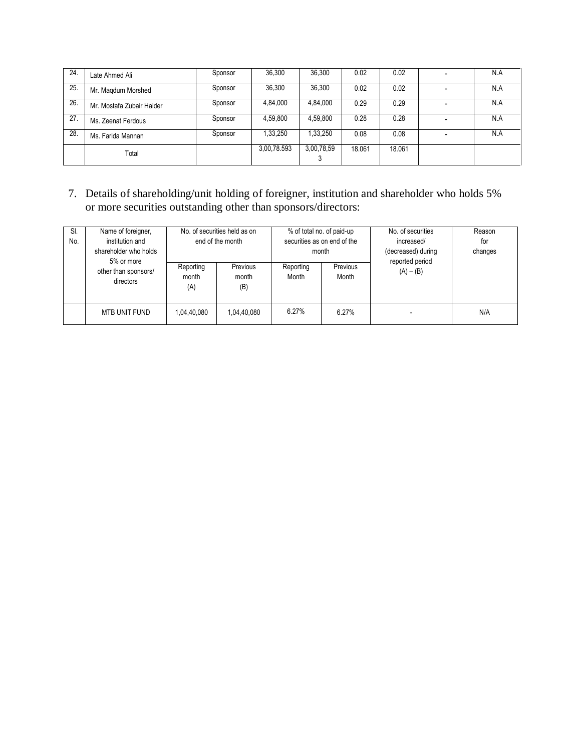| 24. | Late Ahmed Ali            | Sponsor | 36.300      | 36,300     | 0.02   | 0.02   | $\overline{\phantom{0}}$ | N.A |
|-----|---------------------------|---------|-------------|------------|--------|--------|--------------------------|-----|
| 25. | Mr. Magdum Morshed        | Sponsor | 36,300      | 36,300     | 0.02   | 0.02   | $\overline{\phantom{0}}$ | N.A |
| 26. | Mr. Mostafa Zubair Haider | Sponsor | 4,84,000    | 4,84,000   | 0.29   | 0.29   |                          | N.A |
| 27. | Ms. Zeenat Ferdous        | Sponsor | 4,59,800    | 4,59,800   | 0.28   | 0.28   |                          | N.A |
| 28. | Ms. Farida Mannan         | Sponsor | 1,33,250    | 1,33,250   | 0.08   | 0.08   |                          | N.A |
|     | Total                     |         | 3,00,78.593 | 3,00,78,59 | 18.061 | 18.061 |                          |     |

7. Details of shareholding/unit holding of foreigner, institution and shareholder who holds 5% or more securities outstanding other than sponsors/directors:

| SI.<br>No. | Name of foreigner,<br>institution and<br>shareholder who holds<br>5% or more | No. of securities held as on<br>end of the month |                          | month              | % of total no. of paid-up<br>securities as on end of the | No. of securities<br>increased/<br>(decreased) during<br>reported period | Reason<br>for<br>changes |
|------------|------------------------------------------------------------------------------|--------------------------------------------------|--------------------------|--------------------|----------------------------------------------------------|--------------------------------------------------------------------------|--------------------------|
|            | other than sponsors/<br>directors                                            | Reporting<br>month<br>(A)                        | Previous<br>month<br>(B) | Reporting<br>Month | Previous<br>Month                                        | $(A) - (B)$                                                              |                          |
|            | MTB UNIT FUND                                                                | 1,04,40,080                                      | 1,04,40,080              | 6.27%              | 6.27%                                                    |                                                                          | N/A                      |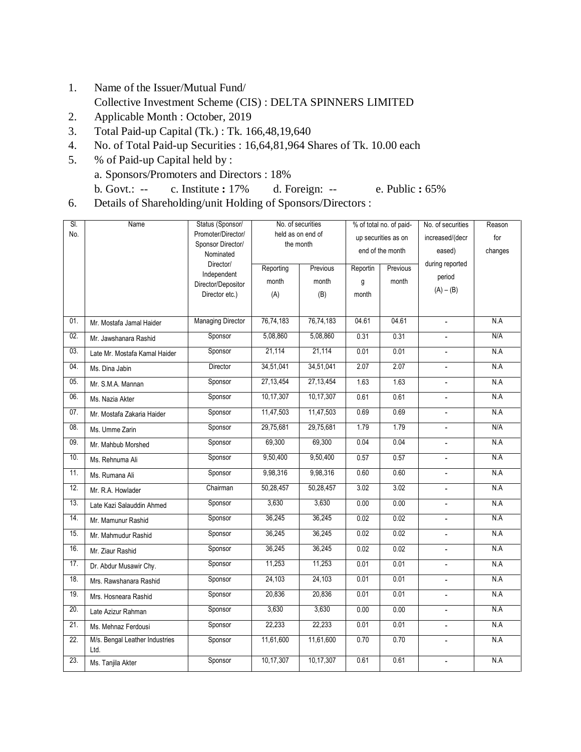- 1. Name of the Issuer/Mutual Fund/ Collective Investment Scheme (CIS) : DELTA SPINNERS LIMITED
- 2. Applicable Month : October, 2019
- 3. Total Paid-up Capital (Tk.) : Tk. 166,48,19,640
- 4. No. of Total Paid-up Securities : 16,64,81,964 Shares of Tk. 10.00 each
- 5. % of Paid-up Capital held by : a. Sponsors/Promoters and Directors : 18% b. Govt.: -- c. Institute **:** 17% d. Foreign: -- e. Public **:** 65%
- 6. Details of Shareholding/unit Holding of Sponsors/Directors :

| SI.               | Name                                   | Status (Sponsor/                        | No. of securities              |             |          | % of total no. of paid- | No. of securities        | Reason  |
|-------------------|----------------------------------------|-----------------------------------------|--------------------------------|-------------|----------|-------------------------|--------------------------|---------|
| No.               |                                        | Promoter/Director/<br>Sponsor Director/ | held as on end of<br>the month |             |          | up securities as on     | increased/(decr          | for     |
|                   |                                        | Nominated                               |                                |             |          | end of the month        | eased)                   | changes |
|                   |                                        | Director/                               | Reporting                      | Previous    | Reportin | Previous                | during reported          |         |
|                   |                                        | Independent<br>Director/Depositor       | month                          | month       | g        | month                   | period                   |         |
|                   |                                        | Director etc.)                          | (A)                            | (B)         | month    |                         | $(A) - (B)$              |         |
|                   |                                        |                                         |                                |             |          |                         |                          |         |
| 01.               | Mr. Mostafa Jamal Haider               | <b>Managing Director</b>                | 76,74,183                      | 76,74,183   | 04.61    | 04.61                   | $\overline{\phantom{a}}$ | N.A     |
| 02.               | Mr. Jawshanara Rashid                  | Sponsor                                 | 5,08,860                       | 5,08,860    | 0.31     | 0.31                    | $\overline{\phantom{a}}$ | N/A     |
| 03.               | Late Mr. Mostafa Kamal Haider          | Sponsor                                 | 21,114                         | 21,114      | 0.01     | 0.01                    | $\overline{\phantom{a}}$ | N.A     |
| 04.               | Ms. Dina Jabin                         | Director                                | 34,51,041                      | 34,51,041   | 2.07     | 2.07                    | $\blacksquare$           | N.A     |
| 05.               | Mr. S.M.A. Mannan                      | Sponsor                                 | 27, 13, 454                    | 27, 13, 454 | 1.63     | 1.63                    | $\overline{\phantom{a}}$ | N.A     |
| 06.               | Ms. Nazia Akter                        | Sponsor                                 | 10,17,307                      | 10,17,307   | 0.61     | 0.61                    | $\blacksquare$           | N.A     |
| 07.               | Mr. Mostafa Zakaria Haider             | Sponsor                                 | 11,47,503                      | 11,47,503   | 0.69     | 0.69                    | $\overline{\phantom{a}}$ | N.A     |
| 08.               | Ms. Umme Zarin                         | Sponsor                                 | 29,75,681                      | 29,75,681   | 1.79     | 1.79                    | $\overline{\phantom{a}}$ | N/A     |
| 09.               | Mr. Mahbub Morshed                     | Sponsor                                 | 69,300                         | 69,300      | 0.04     | 0.04                    | $\overline{\phantom{a}}$ | N.A     |
| 10.               | Ms. Rehnuma Ali                        | Sponsor                                 | 9,50,400                       | 9,50,400    | 0.57     | 0.57                    | $\overline{\phantom{a}}$ | N.A     |
| 11.               | Ms. Rumana Ali                         | Sponsor                                 | 9,98,316                       | 9,98,316    | 0.60     | 0.60                    | $\overline{\phantom{a}}$ | N.A     |
| 12.               | Mr. R.A. Howlader                      | Chairman                                | 50,28,457                      | 50,28,457   | 3.02     | 3.02                    | $\overline{\phantom{a}}$ | N.A     |
| 13.               | Late Kazi Salauddin Ahmed              | Sponsor                                 | 3,630                          | 3,630       | 0.00     | 0.00                    | $\overline{\phantom{a}}$ | N.A     |
| 14.               | Mr. Mamunur Rashid                     | Sponsor                                 | 36,245                         | 36,245      | 0.02     | 0.02                    | $\blacksquare$           | N.A     |
| 15.               | Mr. Mahmudur Rashid                    | Sponsor                                 | 36,245                         | 36,245      | 0.02     | 0.02                    | $\overline{\phantom{a}}$ | N.A     |
| 16.               | Mr. Ziaur Rashid                       | Sponsor                                 | 36,245                         | 36,245      | 0.02     | 0.02                    |                          | N.A     |
| 17.               | Dr. Abdur Musawir Chy.                 | Sponsor                                 | 11,253                         | 11,253      | 0.01     | 0.01                    | $\overline{\phantom{a}}$ | N.A     |
| 18.               | Mrs. Rawshanara Rashid                 | Sponsor                                 | 24,103                         | 24,103      | 0.01     | 0.01                    | $\overline{\phantom{a}}$ | N.A     |
| 19.               | Mrs. Hosneara Rashid                   | Sponsor                                 | 20,836                         | 20,836      | 0.01     | 0.01                    | $\overline{a}$           | N.A     |
| 20.               | Late Azizur Rahman                     | Sponsor                                 | 3,630                          | 3,630       | 0.00     | 0.00                    |                          | N.A     |
| 21.               | Ms. Mehnaz Ferdousi                    | Sponsor                                 | 22,233                         | 22,233      | 0.01     | 0.01                    | $\frac{1}{2}$            | N.A     |
| $\overline{22}$ . | M/s. Bengal Leather Industries<br>Ltd. | Sponsor                                 | 11,61,600                      | 11,61,600   | 0.70     | 0.70                    |                          | N.A     |
| 23.               | Ms. Tanjila Akter                      | Sponsor                                 | 10,17,307                      | 10,17,307   | 0.61     | 0.61                    | $\overline{\phantom{a}}$ | N.A     |